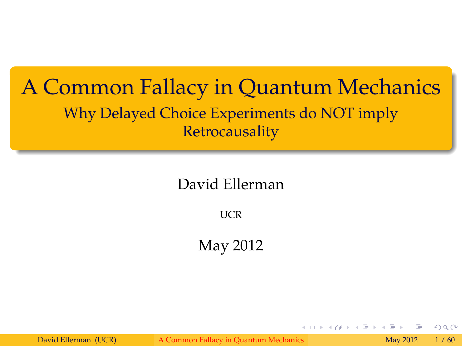#### A Common Fallacy in Quantum Mechanics Why Delayed Choice Experiments do NOT imply Retrocausality

#### David Ellerman

**IICR** 

May 2012

David Ellerman (UCR) [A Common Fallacy in Quantum Mechanics](#page-59-0) May 2012 1/60

<span id="page-0-0"></span> $290$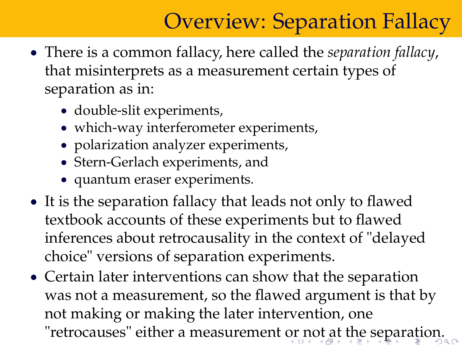# Overview: Separation Fallacy

- There is a common fallacy, here called the *separation fallacy*, that misinterprets as a measurement certain types of separation as in:
	- double-slit experiments,
	- which-way interferometer experiments,
	- polarization analyzer experiments,
	- Stern-Gerlach experiments, and
	- quantum eraser experiments.
- It is the separation fallacy that leads not only to flawed textbook accounts of these experiments but to flawed inferences about retrocausality in the context of "delayed choice" versions of separation experiments.
- <span id="page-1-0"></span> Certain later interventions can show that the separation was not a measurement, so the flawed argument is that by not making or making the later intervention, one "retrocauses" either a measurement [or](#page-0-0) [n](#page-2-0)[ot](#page-0-0) [a](#page-1-0)[t](#page-2-0) [th](#page-0-0)[e s](#page-59-0)[e](#page-0-0)[pa](#page-59-0)[ra](#page-0-0)[tio](#page-59-0)n.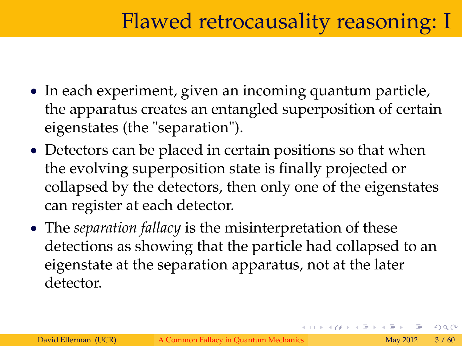## Flawed retrocausality reasoning: I

- In each experiment, given an incoming quantum particle, the apparatus creates an entangled superposition of certain eigenstates (the "separation").
- Detectors can be placed in certain positions so that when the evolving superposition state is finally projected or collapsed by the detectors, then only one of the eigenstates can register at each detector.
- The *separation fallacy* is the misinterpretation of these detections as showing that the particle had collapsed to an eigenstate at the separation apparatus, not at the later detector.

<span id="page-2-0"></span> $\Omega$ 

イロト イ押ト イミト イヨト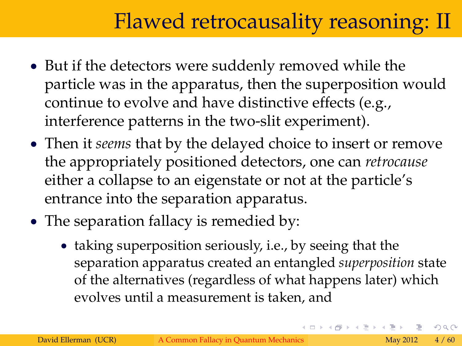## Flawed retrocausality reasoning: II

- But if the detectors were suddenly removed while the particle was in the apparatus, then the superposition would continue to evolve and have distinctive effects (e.g., interference patterns in the two-slit experiment).
- Then it *seems* that by the delayed choice to insert or remove the appropriately positioned detectors, one can *retrocause* either a collapse to an eigenstate or not at the particle's entrance into the separation apparatus.
- The separation fallacy is remedied by:
	- taking superposition seriously, i.e., by seeing that the separation apparatus created an entangled *superposition* state of the alternatives (regardless of what happens later) which evolves until a measurement is taken, and

 $\Omega$ 

4 ロト 4 何 ト 4 ヨ ト 4 ヨ ト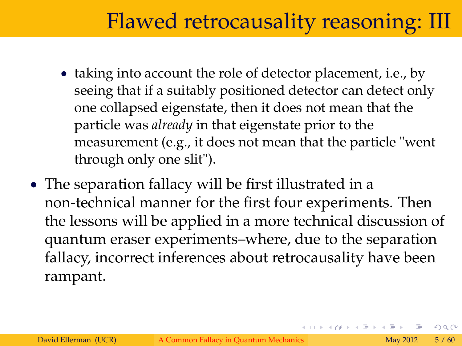#### Flawed retrocausality reasoning: III

- taking into account the role of detector placement, i.e., by seeing that if a suitably positioned detector can detect only one collapsed eigenstate, then it does not mean that the particle was *already* in that eigenstate prior to the measurement (e.g., it does not mean that the particle "went through only one slit").
- The separation fallacy will be first illustrated in a non-technical manner for the first four experiments. Then the lessons will be applied in a more technical discussion of quantum eraser experiments–where, due to the separation fallacy, incorrect inferences about retrocausality have been rampant.

 $\Omega$ 

イロト イ押 トイヨ トイヨト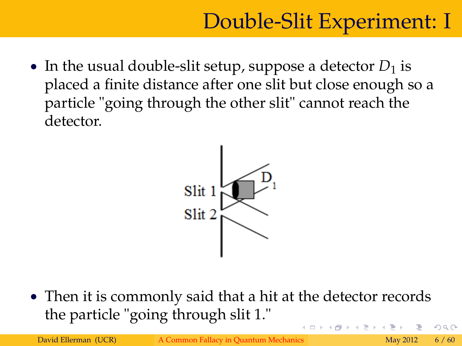• In the usual double-slit setup, suppose a detector  $D_1$  is placed a finite distance after one slit but close enough so a particle "going through the other slit" cannot reach the detector.



 Then it is commonly said that a hit at the detector records the particle "going through slit 1." つひい

David Ellerman (UCR) [A Common Fallacy in Quantum Mechanics](#page-0-0) May 2012 6 / 60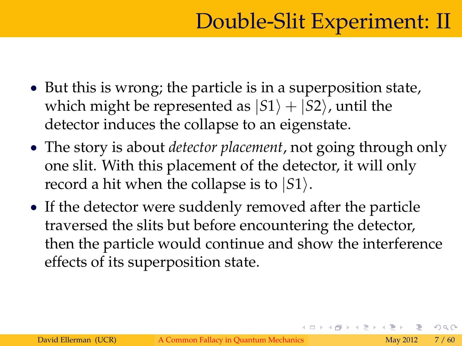- But this is wrong; the particle is in a superposition state, which might be represented as  $|S1\rangle + |S2\rangle$ , until the detector induces the collapse to an eigenstate.
- The story is about *detector placement*, not going through only one slit. With this placement of the detector, it will only record a hit when the collapse is to  $|S1\rangle$ .
- If the detector were suddenly removed after the particle traversed the slits but before encountering the detector, then the particle would continue and show the interference effects of its superposition state.

 $\Omega$ 

. . . . . **.** . . . . . . .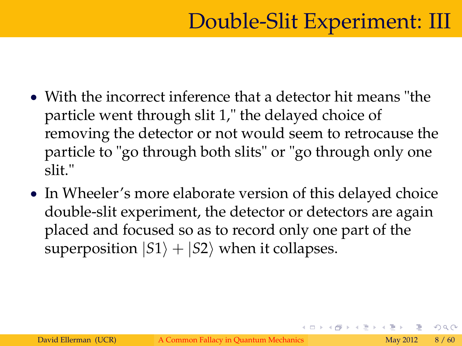- With the incorrect inference that a detector hit means "the particle went through slit 1," the delayed choice of removing the detector or not would seem to retrocause the particle to "go through both slits" or "go through only one slit."
- In Wheeler's more elaborate version of this delayed choice double-slit experiment, the detector or detectors are again placed and focused so as to record only one part of the superposition  $|S1\rangle + |S2\rangle$  when it collapses.

 $\Omega$ 

4 ロト 4 何 ト 4 ヨ ト 4 ヨ ト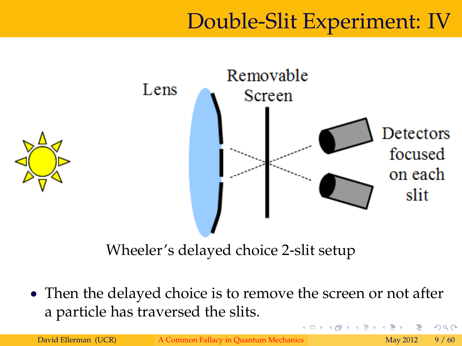### Double-Slit Experiment: IV



Wheeler's delayed choice 2-slit setup

• Then the delayed choice is to remove the screen or not after a particle has traversed the slits.

David Ellerman (UCR) [A Common Fallacy in Quantum Mechanics](#page-0-0) May 2012 9 / 60

つくい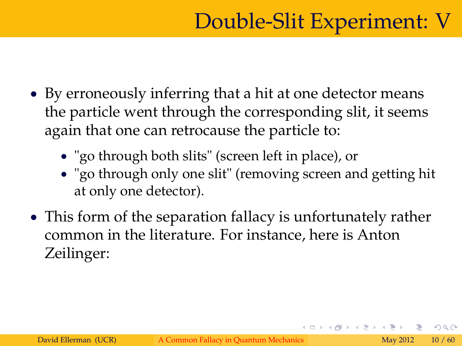- By erroneously inferring that a hit at one detector means the particle went through the corresponding slit, it seems again that one can retrocause the particle to:
	- "go through both slits" (screen left in place), or
	- "go through only one slit" (removing screen and getting hit at only one detector).
- This form of the separation fallacy is unfortunately rather common in the literature. For instance, here is Anton Zeilinger:

つひひ

4 ロト 4 何 ト 4 ヨ ト 4 ヨ ト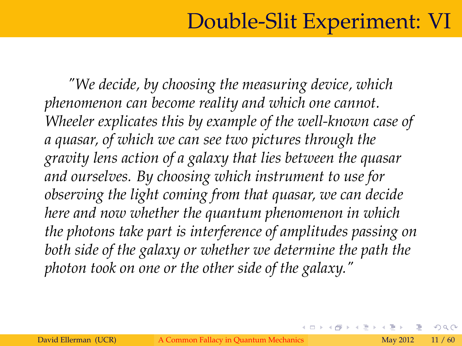### Double-Slit Experiment: VI

*"We decide, by choosing the measuring device, which phenomenon can become reality and which one cannot. Wheeler explicates this by example of the well-known case of a quasar, of which we can see two pictures through the gravity lens action of a galaxy that lies between the quasar and ourselves. By choosing which instrument to use for observing the light coming from that quasar, we can decide here and now whether the quantum phenomenon in which the photons take part is interference of amplitudes passing on both side of the galaxy or whether we determine the path the photon took on one or the other side of the galaxy."*

つひひ

**←ロト ← 伊 ト ← ミト**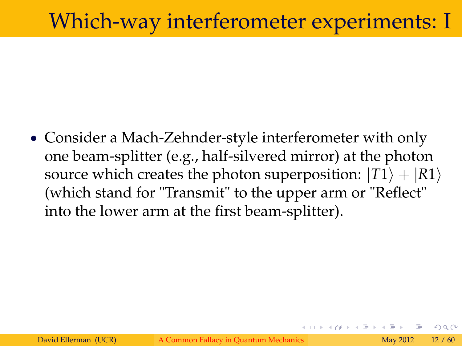#### Which-way interferometer experiments: I

 Consider a Mach-Zehnder-style interferometer with only one beam-splitter (e.g., half-silvered mirror) at the photon source which creates the photon superposition:  $|T1\rangle + |R1\rangle$ (which stand for "Transmit" to the upper arm or "Reflect" into the lower arm at the first beam-splitter).

つひつ

(□ ) (@ ) (□ )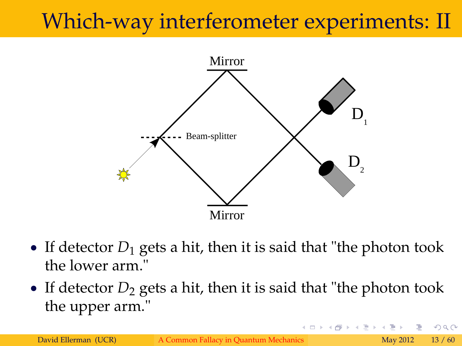# Which-way interferometer experiments: II



- If detector  $D_1$  gets a hit, then it is said that "the photon took" the lower arm."
- If detector  $D_2$  gets a hit, then it is said that "the photon took" the upper arm."

 $\Omega$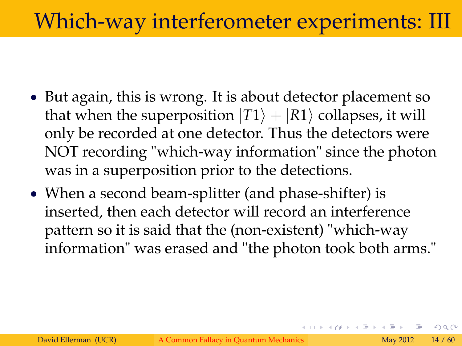### Which-way interferometer experiments: III

- But again, this is wrong. It is about detector placement so that when the superposition  $|T1\rangle + |R1\rangle$  collapses, it will only be recorded at one detector. Thus the detectors were NOT recording "which-way information" since the photon was in a superposition prior to the detections.
- When a second beam-splitter (and phase-shifter) is inserted, then each detector will record an interference pattern so it is said that the (non-existent) "which-way information" was erased and "the photon took both arms."

 $\Omega$ 

4 ロト 4 何 ト 4 ヨ ト 4 ヨ ト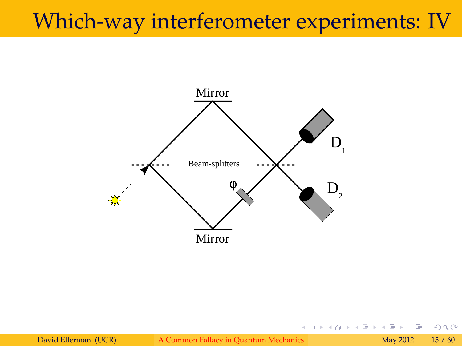### Which-way interferometer experiments: IV



David Ellerman (UCR) [A Common Fallacy in Quantum Mechanics](#page-0-0) May 2012 15 / 60

E

 $2Q$ 

Þ

**≮ロト ⊀ 伊 ト ⊀ ヨ ト**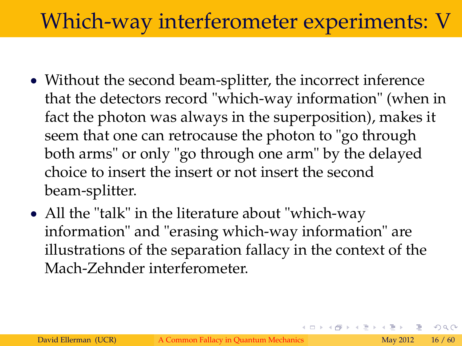# Which-way interferometer experiments: V

- Without the second beam-splitter, the incorrect inference that the detectors record "which-way information" (when in fact the photon was always in the superposition), makes it seem that one can retrocause the photon to "go through both arms" or only "go through one arm" by the delayed choice to insert the insert or not insert the second beam-splitter.
- All the "talk" in the literature about "which-way" information" and "erasing which-way information" are illustrations of the separation fallacy in the context of the Mach-Zehnder interferometer.

つひい

イロト イ押 トイヨ トイヨト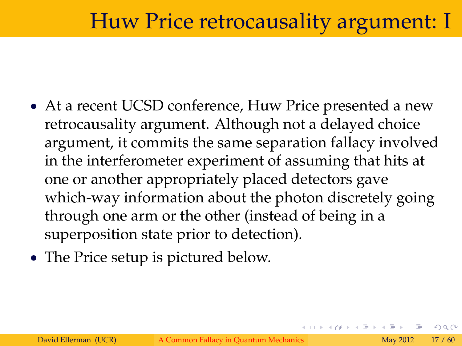#### Huw Price retrocausality argument: I

- At a recent UCSD conference, Huw Price presented a new retrocausality argument. Although not a delayed choice argument, it commits the same separation fallacy involved in the interferometer experiment of assuming that hits at one or another appropriately placed detectors gave which-way information about the photon discretely going through one arm or the other (instead of being in a superposition state prior to detection).
- The Price setup is pictured below.

つひひ

4 ロト 4 何 ト 4 ヨ ト 4 ヨ ト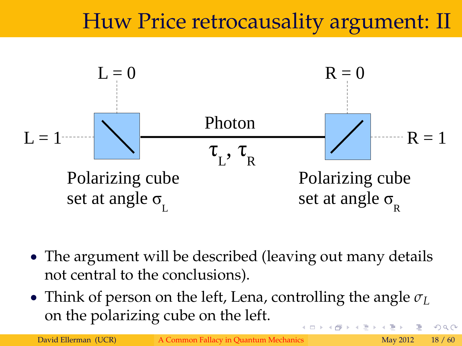### Huw Price retrocausality argument: II



- The argument will be described (leaving out many details not central to the conclusions).
- Think of person on the left, Lena, controlling the angle  $\sigma_L$ on the polarizing cube on the left. 4 ロ ト ィ *同* ト ィ ヨ ト  $\Omega$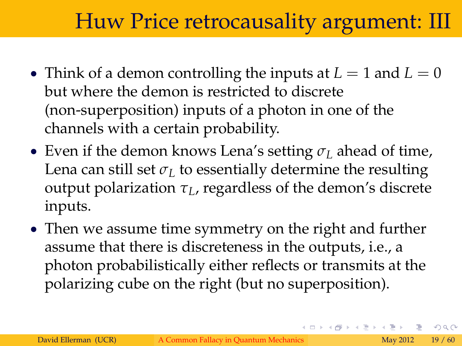#### Huw Price retrocausality argument: III

- Think of a demon controlling the inputs at  $L = 1$  and  $L = 0$ but where the demon is restricted to discrete (non-superposition) inputs of a photon in one of the channels with a certain probability.
- **Even if the demon knows Lena's setting**  $\sigma$ **<sub>L</sub> ahead of time,** Lena can still set  $\sigma_L$  to essentially determine the resulting output polarization *τL*, regardless of the demon's discrete inputs.
- Then we assume time symmetry on the right and further assume that there is discreteness in the outputs, i.e., a photon probabilistically either reflects or transmits at the polarizing cube on the right (but no superposition).

つひひ

イロト イ押 トイヨ トイヨト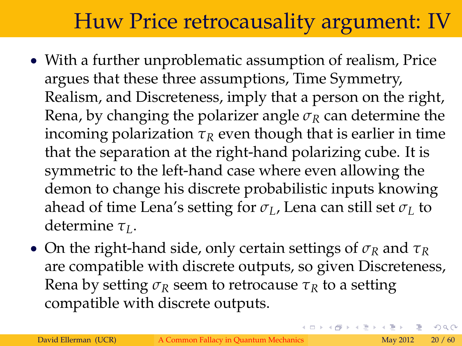## Huw Price retrocausality argument: IV

- With a further unproblematic assumption of realism, Price argues that these three assumptions, Time Symmetry, Realism, and Discreteness, imply that a person on the right, Rena, by changing the polarizer angle  $\sigma_R$  can determine the incoming polarization  $\tau_R$  even though that is earlier in time that the separation at the right-hand polarizing cube. It is symmetric to the left-hand case where even allowing the demon to change his discrete probabilistic inputs knowing ahead of time Lena's setting for  $\sigma$ <sub>L</sub>, Lena can still set  $\sigma$ <sub>L</sub> to determine *τL*.
- On the right-hand side, only certain settings of  $\sigma_R$  and  $\tau_R$ are compatible with discrete outputs, so given Discreteness, Rena by setting  $\sigma_R$  seem to retrocause  $\tau_R$  to a setting compatible with discrete outputs.

 $\Omega$ 

イロト イ押 トイヨ トイヨト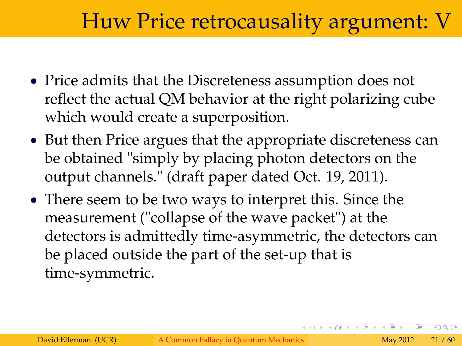#### Huw Price retrocausality argument: V

- Price admits that the Discreteness assumption does not reflect the actual QM behavior at the right polarizing cube which would create a superposition.
- But then Price argues that the appropriate discreteness can be obtained "simply by placing photon detectors on the output channels." (draft paper dated Oct. 19, 2011).
- There seem to be two ways to interpret this. Since the measurement ("collapse of the wave packet") at the detectors is admittedly time-asymmetric, the detectors can be placed outside the part of the set-up that is time-symmetric.

つひひ

4 ロト 4 何 ト 4 ヨ ト 4 ヨ ト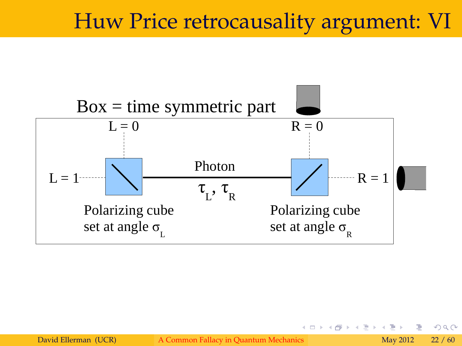#### Huw Price retrocausality argument: VI



つくい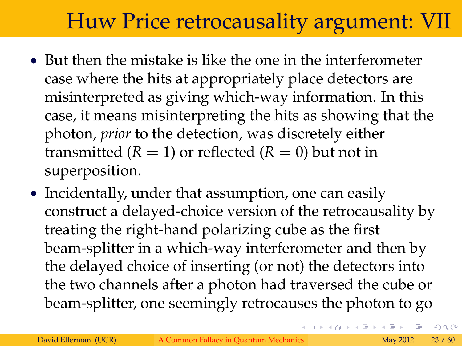# Huw Price retrocausality argument: VII

- But then the mistake is like the one in the interferometer case where the hits at appropriately place detectors are misinterpreted as giving which-way information. In this case, it means misinterpreting the hits as showing that the photon, *prior* to the detection, was discretely either transmitted  $(R = 1)$  or reflected  $(R = 0)$  but not in superposition.
- Incidentally, under that assumption, one can easily construct a delayed-choice version of the retrocausality by treating the right-hand polarizing cube as the first beam-splitter in a which-way interferometer and then by the delayed choice of inserting (or not) the detectors into the two channels after a photon had traversed the cube or beam-splitter, one seemingly retrocauses the photon to go

 $\Omega$ 

K ロト K 個 ト K ヨ ト K ヨ ト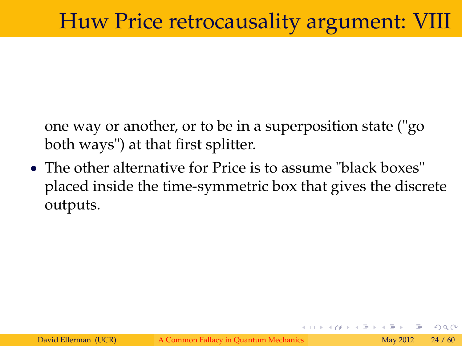one way or another, or to be in a superposition state ("go both ways") at that first splitter.

• The other alternative for Price is to assume "black boxes" placed inside the time-symmetric box that gives the discrete outputs.

つひひ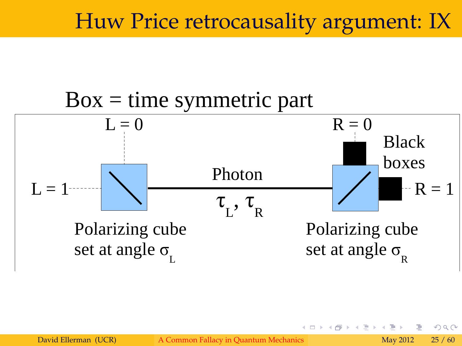#### Huw Price retrocausality argument: IX



David Ellerman (UCR) [A Common Fallacy in Quantum Mechanics](#page-0-0) May 2012 25 / 60

4 0 8 4

 $290$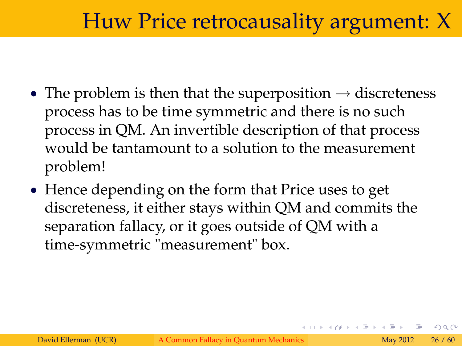### Huw Price retrocausality argument: X

- The problem is then that the superposition  $\rightarrow$  discreteness process has to be time symmetric and there is no such process in QM. An invertible description of that process would be tantamount to a solution to the measurement problem!
- Hence depending on the form that Price uses to get discreteness, it either stays within QM and commits the separation fallacy, or it goes outside of QM with a time-symmetric "measurement" box.

つひつ

イロト イ母 トイヨ トイヨ トー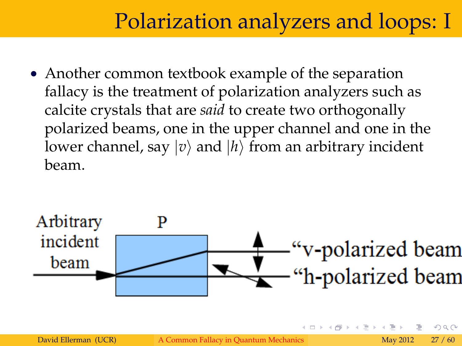#### Polarization analyzers and loops: I

• Another common textbook example of the separation fallacy is the treatment of polarization analyzers such as calcite crystals that are *said* to create two orthogonally polarized beams, one in the upper channel and one in the lower channel, say  $|v\rangle$  and  $|h\rangle$  from an arbitrary incident beam.

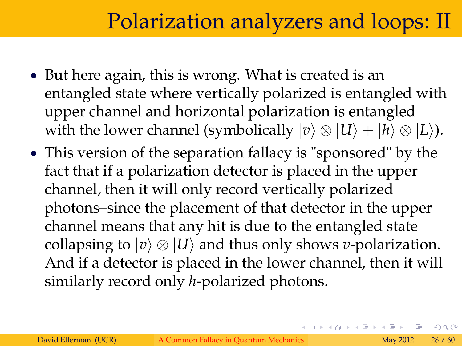#### Polarization analyzers and loops: II

- But here again, this is wrong. What is created is an entangled state where vertically polarized is entangled with upper channel and horizontal polarization is entangled with the lower channel (symbolically  $|v\rangle \otimes |U\rangle + |h\rangle \otimes |L\rangle$ ).
- This version of the separation fallacy is "sponsored" by the fact that if a polarization detector is placed in the upper channel, then it will only record vertically polarized photons–since the placement of that detector in the upper channel means that any hit is due to the entangled state collapsing to  $|v\rangle \otimes |U\rangle$  and thus only shows *v*-polarization. And if a detector is placed in the lower channel, then it will similarly record only *h*-polarized photons.

 $\Omega$ 

イロト イ押 トイヨ トイヨト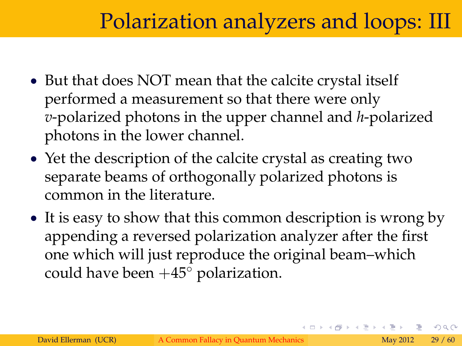#### Polarization analyzers and loops: III

- But that does NOT mean that the calcite crystal itself performed a measurement so that there were only *v*-polarized photons in the upper channel and *h*-polarized photons in the lower channel.
- Yet the description of the calcite crystal as creating two separate beams of orthogonally polarized photons is common in the literature.
- It is easy to show that this common description is wrong by appending a reversed polarization analyzer after the first one which will just reproduce the original beam–which could have been  $+45^{\circ}$  polarization.

 $\Omega$ 

イロト イ押 トイヨト イヨト 一番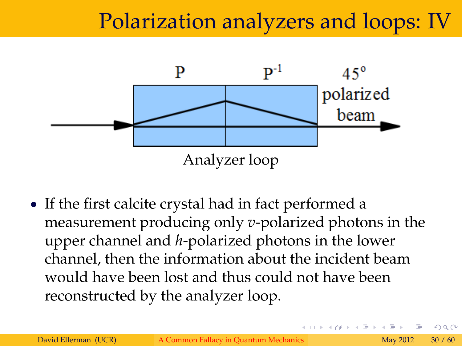### Polarization analyzers and loops: IV



 If the first calcite crystal had in fact performed a measurement producing only *v*-polarized photons in the upper channel and *h*-polarized photons in the lower channel, then the information about the incident beam would have been lost and thus could not have been reconstructed by the analyzer loop.

つひひ

(□ ) (@ ) (□ )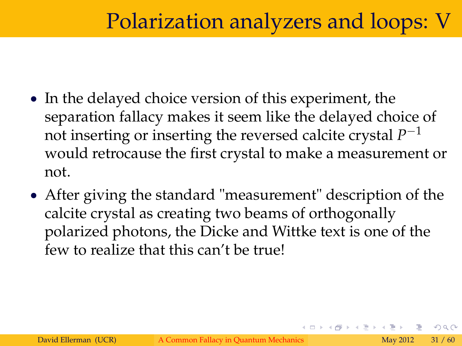### Polarization analyzers and loops: V

- In the delayed choice version of this experiment, the separation fallacy makes it seem like the delayed choice of not inserting or inserting the reversed calcite crystal *P* 1 would retrocause the first crystal to make a measurement or not.
- After giving the standard "measurement" description of the calcite crystal as creating two beams of orthogonally polarized photons, the Dicke and Wittke text is one of the few to realize that this can't be true!

つひつ

4 ロト 4 何 ト 4 ヨ ト 4 ヨ ト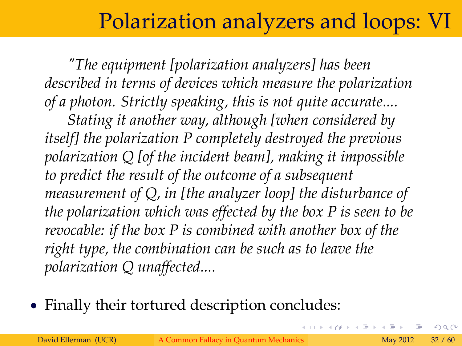### Polarization analyzers and loops: VI

*"The equipment [polarization analyzers] has been described in terms of devices which measure the polarization of a photon. Strictly speaking, this is not quite accurate....*

*Stating it another way, although [when considered by itself] the polarization P completely destroyed the previous polarization Q [of the incident beam], making it impossible to predict the result of the outcome of a subsequent measurement of Q, in [the analyzer loop] the disturbance of the polarization which was effected by the box P is seen to be revocable: if the box P is combined with another box of the right type, the combination can be such as to leave the polarization Q unaffected....*

Finally their tortured description concludes:

つひひ

**K ロ ⊁ K 倒 ⊁ K ミ ⊁**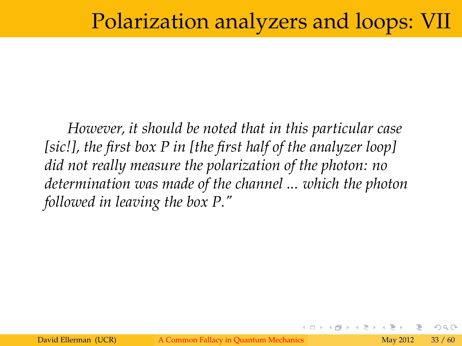#### Polarization analyzers and loops: VII

*However, it should be noted that in this particular case [sic!], the first box P in [the first half of the analyzer loop] did not really measure the polarization of the photon: no determination was made of the channel ... which the photon followed in leaving the box P."*

つひひ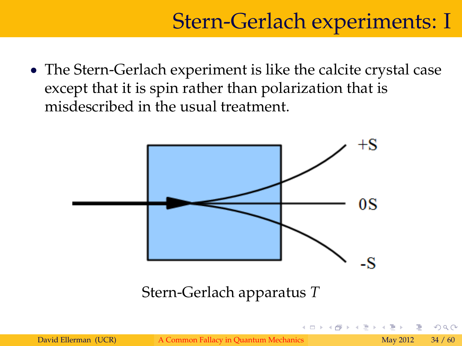### Stern-Gerlach experiments: I

 The Stern-Gerlach experiment is like the calcite crystal case except that it is spin rather than polarization that is misdescribed in the usual treatment.



つひつ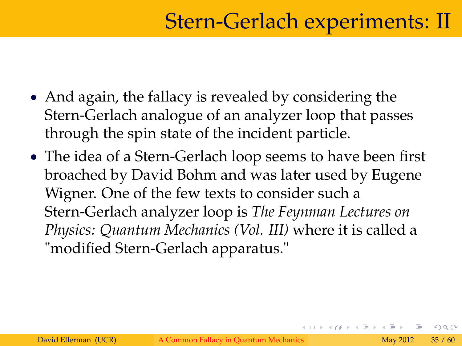- And again, the fallacy is revealed by considering the Stern-Gerlach analogue of an analyzer loop that passes through the spin state of the incident particle.
- The idea of a Stern-Gerlach loop seems to have been first broached by David Bohm and was later used by Eugene Wigner. One of the few texts to consider such a Stern-Gerlach analyzer loop is *The Feynman Lectures on Physics: Quantum Mechanics (Vol. III)* where it is called a "modified Stern-Gerlach apparatus."

つひひ

**K ロ ⊁ K 倒 ⊁ K ミ ⊁**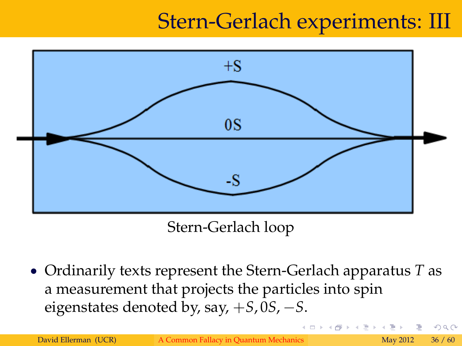## Stern-Gerlach experiments: III



Stern-Gerlach loop

 Ordinarily texts represent the Stern-Gerlach apparatus *T* as a measurement that projects the particles into spin eigenstates denoted by, say, +*S*, 0*S*, *S*.

つひつ

(□ ) (@ ) (□ )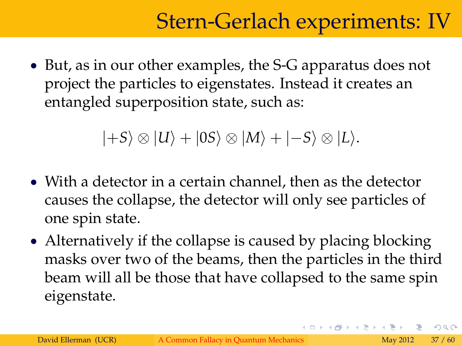## Stern-Gerlach experiments: IV

• But, as in our other examples, the S-G apparatus does not project the particles to eigenstates. Instead it creates an entangled superposition state, such as:

 $|+S\rangle \otimes |U\rangle + |0S\rangle \otimes |M\rangle + |-S\rangle \otimes |L\rangle.$ 

- With a detector in a certain channel, then as the detector causes the collapse, the detector will only see particles of one spin state.
- Alternatively if the collapse is caused by placing blocking masks over two of the beams, then the particles in the third beam will all be those that have collapsed to the same spin eigenstate.

 $\Omega$ 

イロト イ押 トイヨ トイヨ トーヨ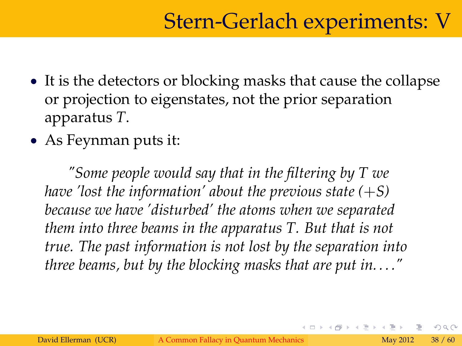- It is the detectors or blocking masks that cause the collapse or projection to eigenstates, not the prior separation apparatus *T*.
- As Feynman puts it:

*"Some people would say that in the filtering by T we have 'lost the information' about the previous state*  $(+S)$ *because we have 'disturbed' the atoms when we separated them into three beams in the apparatus T. But that is not true. The past information is not lost by the separation into three beams, but by the blocking masks that are put in. . . ."*

つひひ

(□ ) (@ ) (□ )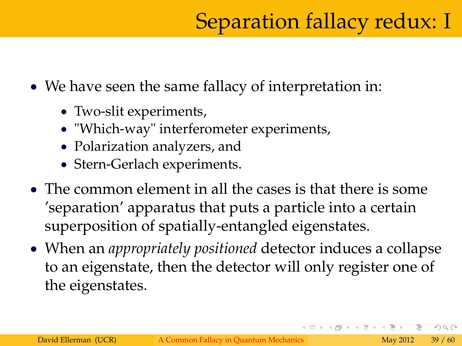We have seen the same fallacy of interpretation in:

- Two-slit experiments,
- "Which-way" interferometer experiments,
- Polarization analyzers, and
- Stern-Gerlach experiments.
- The common element in all the cases is that there is some 'separation' apparatus that puts a particle into a certain superposition of spatially-entangled eigenstates.
- When an *appropriately positioned* detector induces a collapse to an eigenstate, then the detector will only register one of the eigenstates.

 $\Omega$ 

イロト イ押 トイヨ トイヨト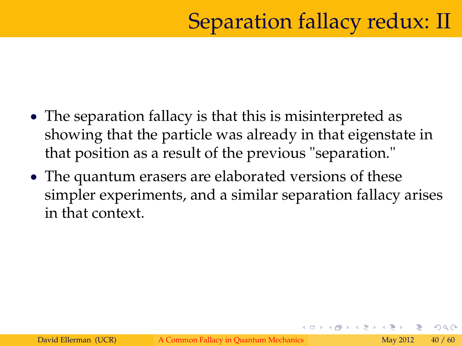- The separation fallacy is that this is misinterpreted as showing that the particle was already in that eigenstate in that position as a result of the previous "separation."
- The quantum erasers are elaborated versions of these simpler experiments, and a similar separation fallacy arises in that context.

つひひ

4 ロ ト ィ *同* ト ィ ヨ ト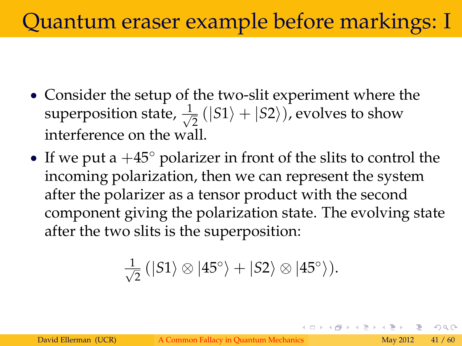# Quantum eraser example before markings: I

- Consider the setup of the two-slit experiment where the superposition state,  $\frac{1}{\sqrt{2}}$  $\frac{1}{2}(|S1\rangle + |S2\rangle)$ , evolves to show interference on the wall.
- If we put a  $+45^{\circ}$  polarizer in front of the slits to control the incoming polarization, then we can represent the system after the polarizer as a tensor product with the second component giving the polarization state. The evolving state after the two slits is the superposition:

$$
\frac{1}{\sqrt{2}}\left(|S1\rangle\otimes|45^{\circ}\rangle+|S2\rangle\otimes|45^{\circ}\rangle\right).
$$

イロト イ押 トイヨ トイヨ トーヨ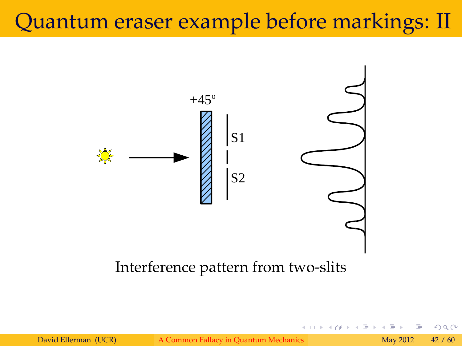### Quantum eraser example before markings: II



#### Interference pattern from two-slits

David Ellerman (UCR) [A Common Fallacy in Quantum Mechanics](#page-0-0) May 2012 42 / 60

 $4$   $\Box$   $\rightarrow$   $4$ 

 $2Q$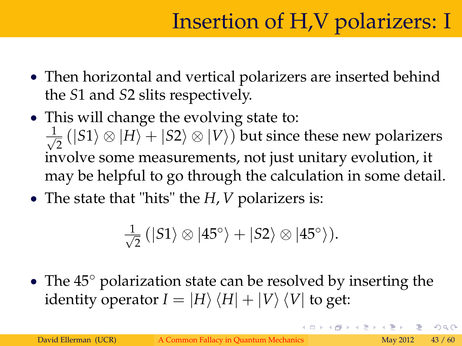- Then horizontal and vertical polarizers are inserted behind the *S*1 and *S*2 slits respectively.
- This will change the evolving state to:  $\frac{1}{\sqrt{2}}$  $\frac{1}{2} \left( \ket{S1} \otimes \ket{H} + \ket{S2} \otimes \ket{V} \right)$  but since these new polarizers involve some measurements, not just unitary evolution, it may be helpful to go through the calculation in some detail.
- The state that "hits" the *H*, *V* polarizers is:

$$
\frac{1}{\sqrt{2}}\left(|S1\rangle\otimes|45^{\circ}\rangle+|S2\rangle\otimes|45^{\circ}\rangle\right).
$$

• The  $45^{\circ}$  polarization state can be resolved by inserting the identity operator  $I = |H\rangle \langle H| + |V\rangle \langle V|$  to get:

つひひ

イロト イ押 トイヨト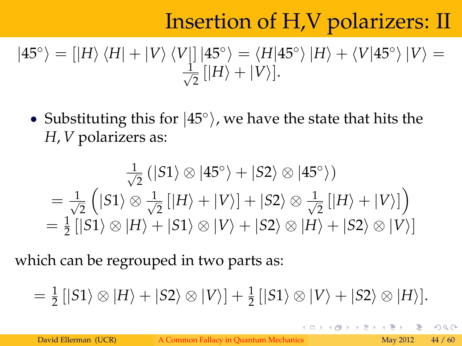# Insertion of H,V polarizers: II

$$
|45^{\circ}\rangle = [|H\rangle \langle H| + |V\rangle \langle V|] |45^{\circ}\rangle = \langle H|45^{\circ}\rangle |H\rangle + \langle V|45^{\circ}\rangle |V\rangle = \frac{1}{\sqrt{2}} [|H\rangle + |V\rangle].
$$

• Substituting this for  $|45^{\circ}\rangle$ , we have the state that hits the *H*, *V* polarizers as:

$$
\frac{1}{\sqrt{2}} (|S1\rangle \otimes |45^\circ\rangle + |S2\rangle \otimes |45^\circ\rangle)
$$
\n
$$
= \frac{1}{\sqrt{2}} (|S1\rangle \otimes \frac{1}{\sqrt{2}} [|H\rangle + |V\rangle] + |S2\rangle \otimes \frac{1}{\sqrt{2}} [|H\rangle + |V\rangle])
$$
\n
$$
= \frac{1}{2} [|S1\rangle \otimes |H\rangle + |S1\rangle \otimes |V\rangle + |S2\rangle \otimes |H\rangle + |S2\rangle \otimes |V\rangle]
$$

which can be regrouped in two parts as:

 $= \frac{1}{2} \left[ |S1\rangle \otimes |H\rangle + |S2\rangle \otimes |V\rangle \right] + \frac{1}{2} \left[ |S1\rangle \otimes |V\rangle + |S2\rangle \otimes |H\rangle \right].$ 

 $\Omega$ 

4 ロト 4 何 ト 4 ヨ ト 4 ヨ ト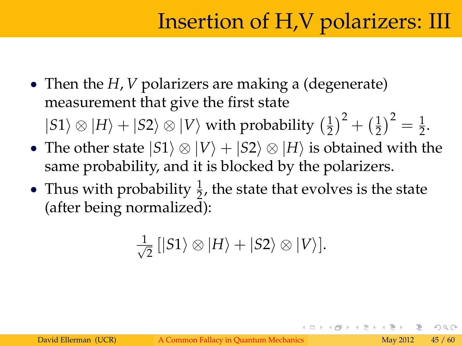# Insertion of H,V polarizers: III

• Then the *H*, *V* polarizers are making a (degenerate) measurement that give the first state

 $|S1\rangle \otimes |H\rangle + |S2\rangle \otimes |V\rangle$  with probability  $\left(\frac{1}{2}\right)$  $(\frac{1}{2})^2 + (\frac{1}{2})^2$  $(\frac{1}{2})^2 = \frac{1}{2}.$ 

- The other state  $|S1\rangle \otimes |V\rangle + |S2\rangle \otimes |H\rangle$  is obtained with the same probability, and it is blocked by the polarizers.
- Thus with probability  $\frac{1}{2}$ , the state that evolves is the state (after being normalized):

$$
\frac{1}{\sqrt{2}}\left[|S1\rangle\otimes|H\rangle+|S2\rangle\otimes|V\rangle\right].
$$

つひつ

イロト イ押 トイヨト イヨト 一番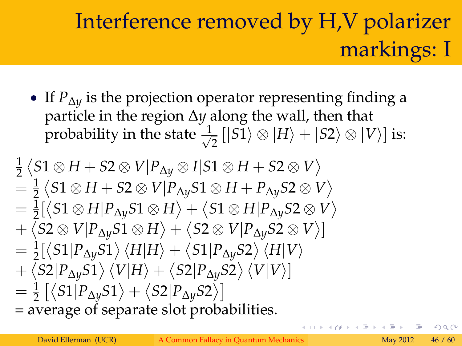# Interference removed by H,V polarizer markings: I

 If *P*∆*<sup>y</sup>* is the projection operator representing finding a particle in the region ∆*y* along the wall, then that probability in the state  $\frac{1}{\sqrt{2}}$  $\frac{1}{2}$   $[|S1\rangle \otimes |H\rangle + |S2\rangle \otimes |V\rangle]$  is:

$$
\frac{1}{2} \langle S1 \otimes H + S2 \otimes V | P_{\Delta y} \otimes I | S1 \otimes H + S2 \otimes V \rangle
$$
\n
$$
= \frac{1}{2} \langle S1 \otimes H + S2 \otimes V | P_{\Delta y} S1 \otimes H + P_{\Delta y} S2 \otimes V \rangle
$$
\n
$$
= \frac{1}{2} [\langle S1 \otimes H | P_{\Delta y} S1 \otimes H \rangle + \langle S1 \otimes H | P_{\Delta y} S2 \otimes V \rangle
$$
\n
$$
+ \langle S2 \otimes V | P_{\Delta y} S1 \otimes H \rangle + \langle S2 \otimes V | P_{\Delta y} S2 \otimes V \rangle]
$$
\n
$$
= \frac{1}{2} [\langle S1 | P_{\Delta y} S1 \rangle \langle H | H \rangle + \langle S1 | P_{\Delta y} S2 \rangle \langle H | V \rangle
$$
\n
$$
+ \langle S2 | P_{\Delta y} S1 \rangle \langle V | H \rangle + \langle S2 | P_{\Delta y} S2 \rangle \langle V | V \rangle]
$$
\n
$$
= \frac{1}{2} [\langle S1 | P_{\Delta y} S1 \rangle + \langle S2 | P_{\Delta y} S2 \rangle]
$$
\n= average of separate slot probabilities.

つひひ

イロト イ押ト イヨト イヨト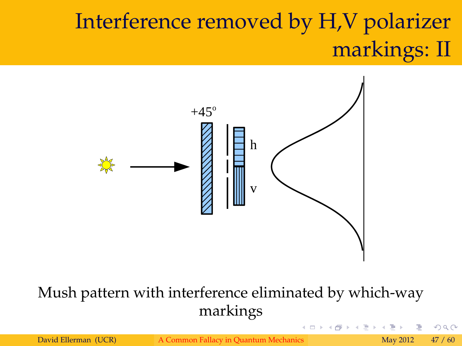# Interference removed by H,V polarizer markings: II



#### Mush pattern with interference eliminated by which-way markings

David Ellerman (UCR) [A Common Fallacy in Quantum Mechanics](#page-0-0) May 2012 47 / 60

 $\leftarrow$   $\Box$   $\rightarrow$   $\rightarrow$ 

つくい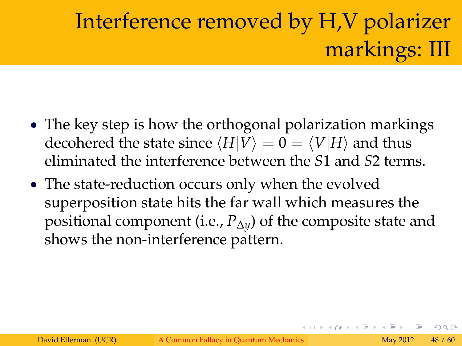# Interference removed by H,V polarizer markings: III

- The key step is how the orthogonal polarization markings decohered the state since  $\langle H|V\rangle = 0 = \langle V|H\rangle$  and thus eliminated the interference between the *S*1 and *S*2 terms.
- The state-reduction occurs only when the evolved superposition state hits the far wall which measures the positional component (i.e., *P*∆*y*) of the composite state and shows the non-interference pattern.

つひつ

K ロト K 個 ト K ヨ ト K ヨ ト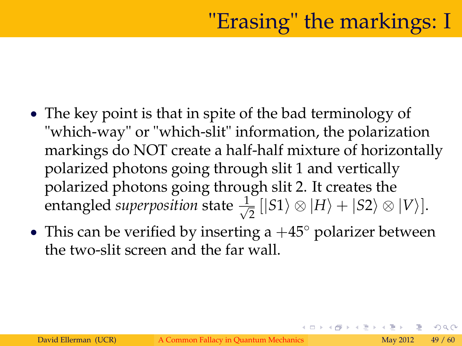- The key point is that in spite of the bad terminology of "which-way" or "which-slit" information, the polarization markings do NOT create a half-half mixture of horizontally polarized photons going through slit 1 and vertically polarized photons going through slit 2. It creates the entangled *superposition* state  $\frac{1}{\sqrt{2}}$  $\frac{1}{2}$   $[|S1\rangle \otimes |H\rangle + |S2\rangle \otimes |V\rangle].$
- This can be verified by inserting a  $+45^{\circ}$  polarizer between the two-slit screen and the far wall.

つひつ

4 ロト 4 何 ト 4 ヨ ト 4 ヨ ト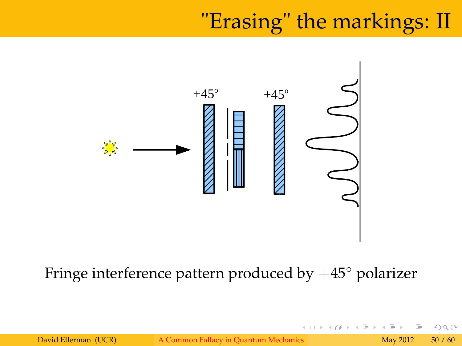# "Erasing" the markings: II

4 0 8 4



#### Fringe interference pattern produced by  $+45^{\circ}$  polarizer

David Ellerman (UCR) [A Common Fallacy in Quantum Mechanics](#page-0-0) May 2012 50 / 60

 $2Q$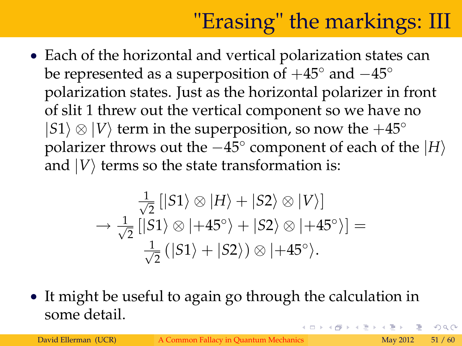# "Erasing" the markings: III

 Each of the horizontal and vertical polarization states can be represented as a superposition of  $+45^{\circ}$  and  $-45^{\circ}$ polarization states. Just as the horizontal polarizer in front of slit 1 threw out the vertical component so we have no  $|S1\rangle \otimes |V\rangle$  term in the superposition, so now the  $+45^{\circ}$ polarizer throws out the  $-45^{\circ}$  component of each of the  $|H\rangle$ and  $|V\rangle$  terms so the state transformation is:

$$
\frac{1}{\sqrt{2}}\left[\left|S1\right\rangle \otimes \left|H\right\rangle + \left|S2\right\rangle \otimes \left|V\right\rangle\right] \n\rightarrow \frac{1}{\sqrt{2}}\left[\left|S1\right\rangle \otimes \left|+45^{\circ}\right\rangle + \left|S2\right\rangle \otimes \left|+45^{\circ}\right\rangle\right] = \n\frac{1}{\sqrt{2}}\left(\left|S1\right\rangle + \left|S2\right\rangle\right) \otimes \left|+45^{\circ}\right\rangle.
$$

 It might be useful to again go through the calculation in some detail. イロト イ押 トイラト イラト・ラ

 $QQ$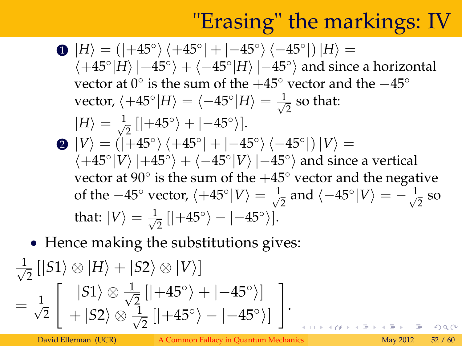# "Erasing" the markings: IV

- **D**  $|H\rangle = (|+45^{\circ}\rangle\langle+45^{\circ}|+|-45^{\circ}\rangle\langle-45^{\circ}|)|H\rangle =$  $\langle +45^{\circ} |H \rangle |+45^{\circ} \rangle + \langle -45^{\circ} |H \rangle | -45^{\circ} \rangle$  and since a horizontal vector at  $0^{\circ}$  is the sum of the  $+45^{\circ}$  vector and the  $-45^{\circ}$ vector,  $\langle +45^\circ|H\rangle = \langle -45^\circ|H\rangle = \frac{1}{\sqrt{2}}$  $\frac{1}{2}$  so that:  $|H\rangle = \frac{1}{\sqrt{2}}$  $\frac{1}{2}$  [ $|+45^{\circ}\rangle + |-45^{\circ}\rangle$ ]. **2**  $|V\rangle = (|+45^{\circ}\rangle\langle+45^{\circ}|+|-45^{\circ}\rangle\langle-45^{\circ}|)|V\rangle =$  $\langle +45^{\circ} | V \rangle |+45^{\circ} \rangle + \langle -45^{\circ} | V \rangle | -45^{\circ} \rangle$  and since a vertical vector at 90 $^{\circ}$  is the sum of the  $+45^{\circ}$  vector and the negative of the  $-45^{\circ}$  vector,  $\langle +45^{\circ} | V \rangle = \frac{1}{\sqrt{2}}$  $\frac{1}{2}$  and  $\langle -45^{\circ} | V \rangle = -\frac{1}{\sqrt{2}}$  $\overline{2}$  so that:  $\ket{V} = \frac{1}{\sqrt{2}}$  $\frac{1}{2}[|+45^{\circ}\rangle-|-45^{\circ}\rangle].$
- Hence making the substitutions gives:

$$
\frac{1}{\sqrt{2}} [|S1\rangle \otimes |H\rangle + |S2\rangle \otimes |V\rangle] \n= \frac{1}{\sqrt{2}} \begin{bmatrix} |S1\rangle \otimes \frac{1}{\sqrt{2}}[|+45^{\circ}\rangle + |-45^{\circ}\rangle] \\ + |S2\rangle \otimes \frac{1}{\sqrt{2}}[|+45^{\circ}\rangle - |-45^{\circ}\rangle] \end{bmatrix}.
$$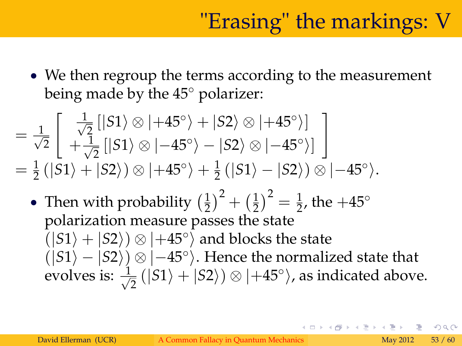• We then regroup the terms according to the measurement being made by the  $45^\circ$  polarizer:

$$
= \frac{1}{\sqrt{2}} \begin{bmatrix} \frac{1}{\sqrt{2}} \left[ |S1\rangle \otimes |+45^\circ\rangle + |S2\rangle \otimes |+45^\circ\rangle \right] \\ + \frac{1}{\sqrt{2}} \left[ |S1\rangle \otimes |-45^\circ\rangle - |S2\rangle \otimes |-45^\circ\rangle \right] \\ = \frac{1}{2} \left( |S1\rangle + |S2\rangle\right) \otimes |+45^\circ\rangle + \frac{1}{2} \left( |S1\rangle - |S2\rangle\right) \otimes |-45^\circ\rangle.
$$

• Then with probability  $(\frac{1}{2})$  $(\frac{1}{2})^2 + (\frac{1}{2})^2$  $\left(\frac{1}{2}\right)^2 = \frac{1}{2}$ , the  $+45^{\circ}$ polarization measure passes the state  $\binom{|S1\rangle + |S2\rangle}{|S2\rangle} \otimes \left| +45^{\circ} \right\rangle$  and blocks the state  $(|S1\rangle - |S2\rangle) \otimes |-45^{\circ}\rangle$ . Hence the normalized state that evolves is:  $\frac{1}{\sqrt{2}}$  $\frac{1}{2}(|S1\rangle + |S2\rangle) \otimes |+45^{\circ}\rangle$ , as indicated above.

 $\Omega$ 

イロト イ押 トイヨト イヨト 一重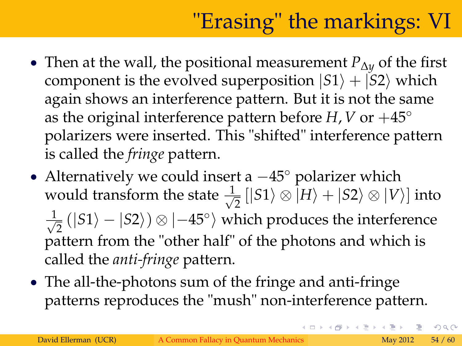# "Erasing" the markings: VI

- Then at the wall, the positional measurement *P*∆*<sup>y</sup>* of the first component is the evolved superposition  $|S1\rangle + |S2\rangle$  which again shows an interference pattern. But it is not the same as the original interference pattern before *H*, *V* or  $+45^{\circ}$ polarizers were inserted. This "shifted" interference pattern is called the *fringe* pattern.
- Alternatively we could insert a  $-45^{\circ}$  polarizer which would transform the state  $\frac{1}{\sqrt{2}}$  $\frac{1}{2}$   $[|S1\rangle \otimes |H\rangle + |S2\rangle \otimes |V\rangle]$  into  $\frac{1}{\sqrt{2}}$  $\frac{1}{2}$  ( $|S1\rangle - |S2\rangle$ )  $\otimes$   $|{-45^{\circ}}\rangle$  which produces the interference pattern from the "other half" of the photons and which is called the *anti-fringe* pattern.
- The all-the-photons sum of the fringe and anti-fringe patterns reproduces the "mush" non-interference pattern.

 $\Omega$ 

イロト イ押 トイヨ トイヨト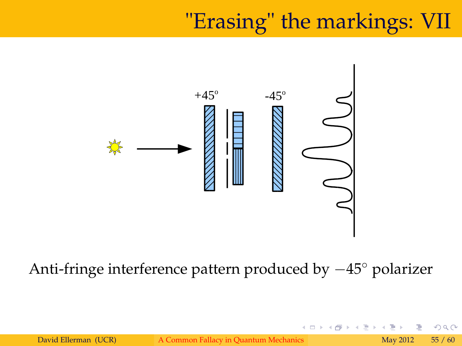### "Erasing" the markings: VII

∢ □ ▶ ⊣ @



#### Anti-fringe interference pattern produced by  $-45^{\circ}$  polarizer

つくへ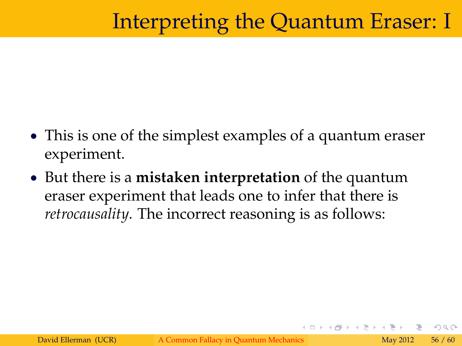# Interpreting the Quantum Eraser: I

- This is one of the simplest examples of a quantum eraser experiment.
- But there is a **mistaken interpretation** of the quantum eraser experiment that leads one to infer that there is *retrocausality*. The incorrect reasoning is as follows:

つひつ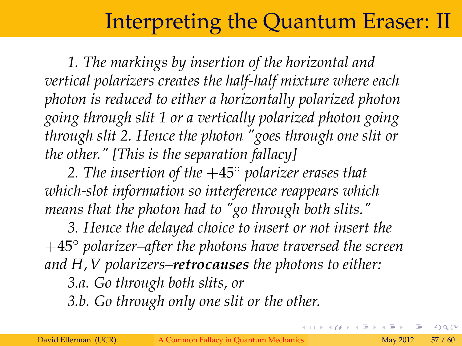#### Interpreting the Quantum Eraser: II

*1. The markings by insertion of the horizontal and vertical polarizers creates the half-half mixture where each photon is reduced to either a horizontally polarized photon going through slit 1 or a vertically polarized photon going through slit 2. Hence the photon "goes through one slit or the other." [This is the separation fallacy]*

*2. The insertion of the* +45 *polarizer erases that which-slot information so interference reappears which means that the photon had to "go through both slits."*

*3. Hence the delayed choice to insert or not insert the* +45 *polarizer–after the photons have traversed the screen and H*, *V polarizers–retrocauses the photons to either:*

*3.a. Go through both slits, or*

*3.b. Go through only one slit or the other.*

∢ □ ▶ ⊣ @

つくい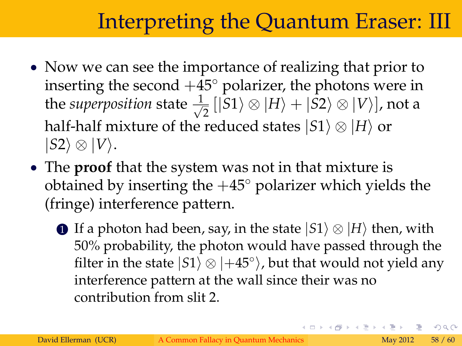# Interpreting the Quantum Eraser: III

- Now we can see the importance of realizing that prior to inserting the second  $+45^{\circ}$  polarizer, the photons were in the *superposition* state  $\frac{1}{\sqrt{2}}$  $\frac{1}{2}$   $[|S1\rangle \otimes |H\rangle + |S2\rangle \otimes |V\rangle]$ , not a half-half mixture of the reduced states  $|S1\rangle \otimes |H\rangle$  or  $|S2\rangle \otimes |V\rangle.$
- The **proof** that the system was not in that mixture is obtained by inserting the  $+45^{\circ}$  polarizer which yields the (fringe) interference pattern.
	- **1** If a photon had been, say, in the state  $|S1\rangle \otimes |H\rangle$  then, with 50% probability, the photon would have passed through the filter in the state  $|S1\rangle \otimes |+45^{\circ}\rangle$ , but that would not yield any interference pattern at the wall since their was no contribution from slit 2.

 $QQ$ 

イロト イ押 トイヨト イヨト 一番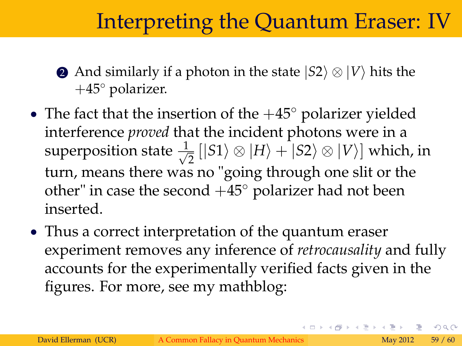## Interpreting the Quantum Eraser: IV

- **2** And similarly if a photon in the state  $|S2\rangle \otimes |V\rangle$  hits the  $+45^{\circ}$  polarizer.
- The fact that the insertion of the  $+45^{\circ}$  polarizer yielded interference *proved* that the incident photons were in a superposition state  $\frac{1}{\sqrt{2}}$  $\frac{1}{2}$   $\left| \left| S1 \right\rangle \otimes \left| H \right\rangle + \left| S2 \right\rangle \otimes \left| V \right\rangle \right]$  which, in turn, means there was no "going through one slit or the other" in case the second  $+45^{\circ}$  polarizer had not been inserted.
- Thus a correct interpretation of the quantum eraser experiment removes any inference of *retrocausality* and fully accounts for the experimentally verified facts given in the figures. For more, see my mathblog:

 $\Omega$ 

イロト イ押 トイヨ トイヨ トーヨ